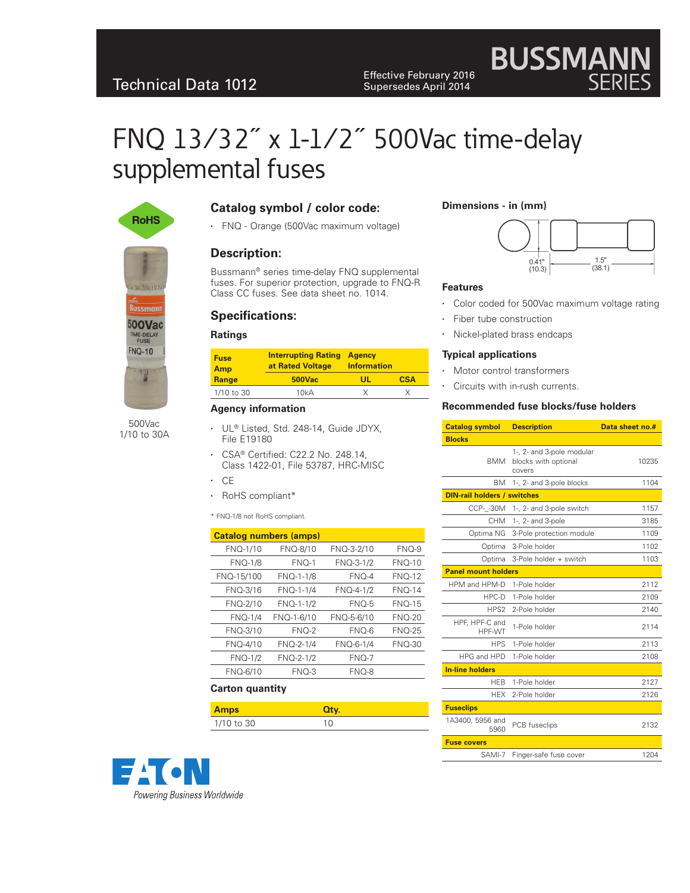Effective February 2016<br>
Supersedes April 2014 Supersedes April 2014

# FNQ 13⁄32˝ x 1-1⁄2˝ 500Vac time-delay supplemental fuses



500Vac 1/10 to 30A

## **Catalog symbol / color code:**

• FNQ - Orange (500Vac maximum voltage)

## **Description:**

Bussmann® series time-delay FNQ supplemental fuses. For superior protection, upgrade to FNQ-R Class CC fuses. See data sheet no. 1014.

# **Specifications:**

#### **Ratings**

| <b>Interrupting Rating</b><br>at Rated Voltage | <b>Information</b> |                |
|------------------------------------------------|--------------------|----------------|
| <b>500Vac</b>                                  | Ш                  | <b>CSA</b>     |
| 10kA                                           |                    |                |
|                                                |                    | <b>A</b> gency |

#### **Agency information**

- UL<sup>®</sup> Listed, Std. 248-14, Guide JDYX, File E19180
- CSA® Certified: C22.2 No. 248.14, Class 1422-01, File 53787, HRC-MISC
- • CE
- RoHS compliant\*

#### \* FNQ-1/8 not RoHS compliant.

| <b>Catalog numbers (amps)</b> |            |            |               |  |
|-------------------------------|------------|------------|---------------|--|
| FNQ-1/10                      | FNQ-8/10   | FNQ-3-2/10 | $FNO-9$       |  |
| <b>FNQ-1/8</b>                | $FNO-1$    | FNQ-3-1/2  | $FNO-10$      |  |
| FNQ-15/100                    | FNQ-1-1/8  | $FNO-4$    | <b>FNO-12</b> |  |
| FNQ-3/16                      | FNQ-1-1/4  | FNQ-4-1/2  | $FNO-14$      |  |
| FNQ-2/10                      | FNQ-1-1/2  | $FNO-5$    | <b>FNO-15</b> |  |
| <b>FNQ-1/4</b>                | FNQ-1-6/10 | FNQ-5-6/10 | $FNO-20$      |  |
| FNQ-3/10                      | $FNO-2$    | FNO-6      | <b>FNO-25</b> |  |
| FNQ-4/10                      | FNQ-2-1/4  | FNQ-6-1/4  | <b>FNO-30</b> |  |
| <b>FNQ-1/2</b>                | FNQ-2-1/2  | $FNO-7$    |               |  |
| FNQ-6/10                      | $FNO-3$    | FNQ-8      |               |  |

#### **Carton quantity**

| <b>Amps</b> | Oty. |
|-------------|------|
| 1/10 to 30  | 10   |



#### **Dimensions - in (mm)**



**BUSSMANN**<br>SERIES

#### **Features**

- Color coded for 500Vac maximum voltage rating
- • Fiber tube construction
- • Nickel-plated brass endcaps

#### **Typical applications**

- Motor control transformers
- • Circuits with in-rush currents.

#### **Recommended fuse blocks/fuse holders**

| <b>Catalog symbol</b>              | <b>Description</b>                                          | Data sheet no.# |  |  |
|------------------------------------|-------------------------------------------------------------|-----------------|--|--|
| <b>Blocks</b>                      |                                                             |                 |  |  |
| <b>BMM</b>                         | 1-, 2- and 3-pole modular<br>blocks with optional<br>covers | 10235           |  |  |
| <b>BM</b>                          | 1-, 2- and 3-pole blocks                                    | 1104            |  |  |
| <b>DIN-rail holders / switches</b> |                                                             |                 |  |  |
| CCP- -30M                          | 1-, 2- and 3-pole switch                                    | 1157            |  |  |
| <b>CHM</b>                         | 1-, 2- and 3-pole                                           | 3185            |  |  |
| Optima NG                          | 3-Pole protection module                                    | 1109            |  |  |
| Optima                             | 3-Pole holder                                               | 1102            |  |  |
| Optima                             | 3-Pole holder + switch                                      | 1103            |  |  |
| <b>Panel mount holders</b>         |                                                             |                 |  |  |
| HPM and HPM-D                      | 1-Pole holder                                               | 2112            |  |  |
| HPC-D                              | 1-Pole holder                                               | 2109            |  |  |
| HPS2                               | 2-Pole holder                                               | 2140            |  |  |
| HPF, HPF-C and<br>HPF-WT           | 1-Pole holder                                               | 2114            |  |  |
| <b>HPS</b>                         | 1-Pole holder                                               | 2113            |  |  |
| HPG and HPD                        | 1-Pole holder                                               | 2108            |  |  |
| <b>In-line holders</b>             |                                                             |                 |  |  |
| <b>HEB</b>                         | 1-Pole holder                                               | 2127            |  |  |
| <b>HEX</b>                         | 2-Pole holder                                               | 2126            |  |  |
| <b>Fuseclips</b>                   |                                                             |                 |  |  |
| 1A3400, 5956 and<br>5960           | <b>PCB</b> fuseclips                                        | 2132            |  |  |
| <b>Fuse covers</b>                 |                                                             |                 |  |  |
| SAMI-7                             | Finger-safe fuse cover                                      | 1204            |  |  |